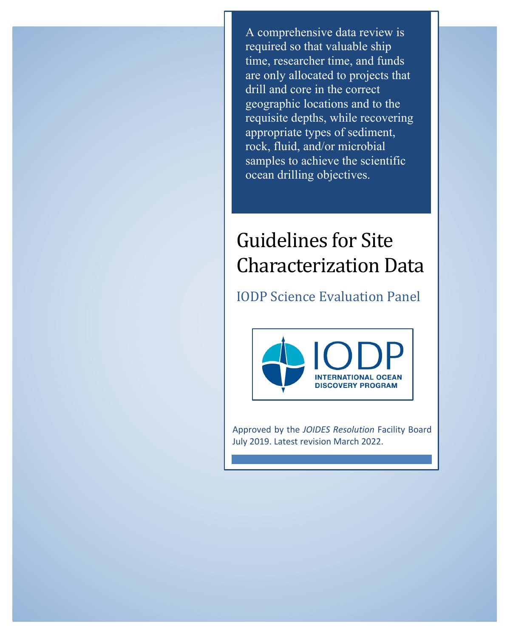A comprehensive data review is required so that valuable ship time, researcher time, and funds are only allocated to projects that drill and core in the correct geographic locations and to the requisite depths, while recovering appropriate types of sediment, rock, fluid, and/or microbial samples to achieve the scientific ocean drilling objectives.

# Guidelines for Site Characterization Data

### IODP Science Evaluation Panel



Approved by the *JOIDES Resolution* Facility Board July 2019. Latest revision March 2022.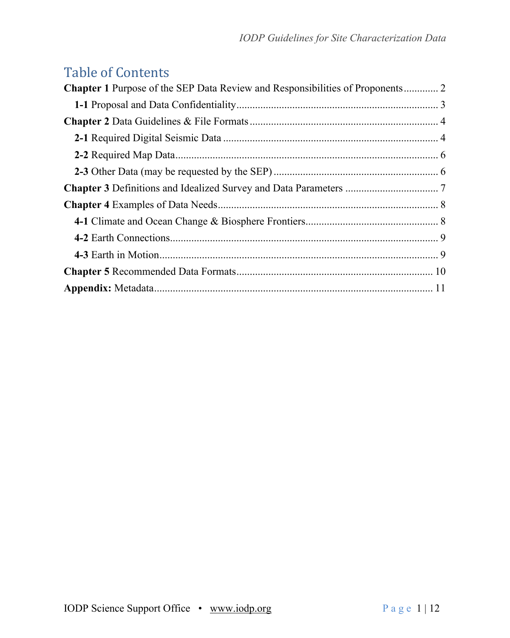### Table of Contents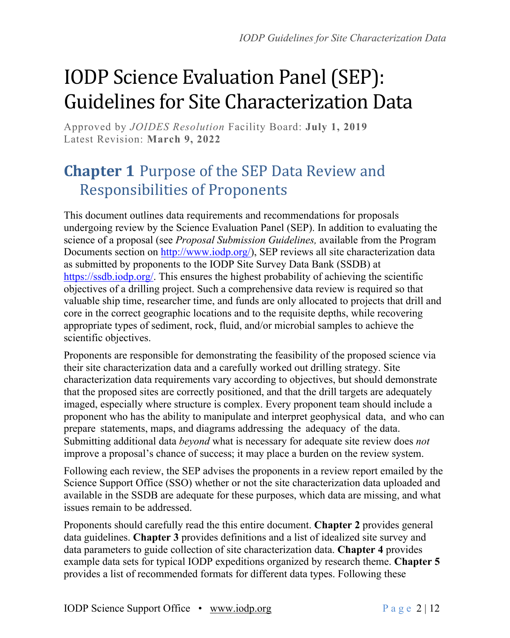# IODP Science Evaluation Panel (SEP): Guidelines for Site Characterization Data

Approved by *JOIDES Resolution* Facility Board: **July 1, 2019** Latest Revision: **March 9, 2022**

## **Chapter 1** Purpose of the SEP Data Review and **Responsibilities of Proponents**

This document outlines data requirements and recommendations for proposals undergoing review by the Science Evaluation Panel (SEP). In addition to evaluating the science of a proposal (see *Proposal Submission Guidelines,* available from the Program Documents section on http://www.iodp.org/), SEP reviews all site characterization data as submitted by proponents to the IODP Site Survey Data Bank (SSDB) at https://ssdb.iodp.org/. This ensures the highest probability of achieving the scientific objectives of a drilling project. Such a comprehensive data review is required so that valuable ship time, researcher time, and funds are only allocated to projects that drill and core in the correct geographic locations and to the requisite depths, while recovering appropriate types of sediment, rock, fluid, and/or microbial samples to achieve the scientific objectives.

Proponents are responsible for demonstrating the feasibility of the proposed science via their site characterization data and a carefully worked out drilling strategy. Site characterization data requirements vary according to objectives, but should demonstrate that the proposed sites are correctly positioned, and that the drill targets are adequately imaged, especially where structure is complex. Every proponent team should include a proponent who has the ability to manipulate and interpret geophysical data, and who can prepare statements, maps, and diagrams addressing the adequacy of the data. Submitting additional data *beyond* what is necessary for adequate site review does *not* improve a proposal's chance of success; it may place a burden on the review system.

Following each review, the SEP advises the proponents in a review report emailed by the Science Support Office (SSO) whether or not the site characterization data uploaded and available in the SSDB are adequate for these purposes, which data are missing, and what issues remain to be addressed.

Proponents should carefully read the this entire document. **Chapter 2** provides general data guidelines. **Chapter 3** provides definitions and a list of idealized site survey and data parameters to guide collection of site characterization data. **Chapter 4** provides example data sets for typical IODP expeditions organized by research theme. **Chapter 5** provides a list of recommended formats for different data types. Following these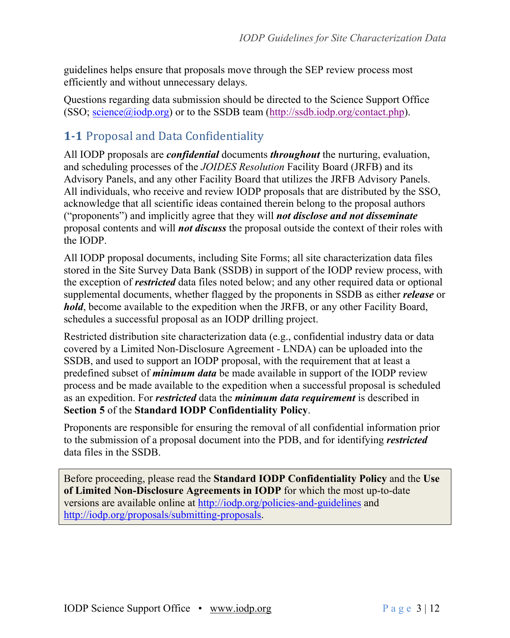guidelines helps ensure that proposals move through the SEP review process most efficiently and without unnecessary delays.

Questions regarding data submission should be directed to the Science Support Office (SSO;  $\frac{\text{science}(\hat{a}) \text{iodp.org}}{\text{or to the SSDB team (http://ssdb.iodp.org/content.php).}}$ 

### **1-1** Proposal and Data Confidentiality

All IODP proposals are *confidential* documents *throughout* the nurturing, evaluation, and scheduling processes of the *JOIDES Resolution* Facility Board (JRFB) and its Advisory Panels, and any other Facility Board that utilizes the JRFB Advisory Panels. All individuals, who receive and review IODP proposals that are distributed by the SSO, acknowledge that all scientific ideas contained therein belong to the proposal authors ("proponents") and implicitly agree that they will *not disclose and not disseminate* proposal contents and will *not discuss* the proposal outside the context of their roles with the IODP.

All IODP proposal documents, including Site Forms; all site characterization data files stored in the Site Survey Data Bank (SSDB) in support of the IODP review process, with the exception of *restricted* data files noted below; and any other required data or optional supplemental documents, whether flagged by the proponents in SSDB as either *release* or *hold*, become available to the expedition when the JRFB, or any other Facility Board, schedules a successful proposal as an IODP drilling project.

Restricted distribution site characterization data (e.g., confidential industry data or data covered by a Limited Non-Disclosure Agreement - LNDA) can be uploaded into the SSDB, and used to support an IODP proposal, with the requirement that at least a predefined subset of *minimum data* be made available in support of the IODP review process and be made available to the expedition when a successful proposal is scheduled as an expedition. For *restricted* data the *minimum data requirement* is described in **Section 5** of the **Standard IODP Confidentiality Policy**.

Proponents are responsible for ensuring the removal of all confidential information prior to the submission of a proposal document into the PDB, and for identifying *restricted* data files in the SSDB.

Before proceeding, please read the **Standard IODP Confidentiality Policy** and the **Use of Limited Non-Disclosure Agreements in IODP** for which the most up-to-date versions are available online at http://iodp.org/policies-and-guidelines and http://iodp.org/proposals/submitting-proposals.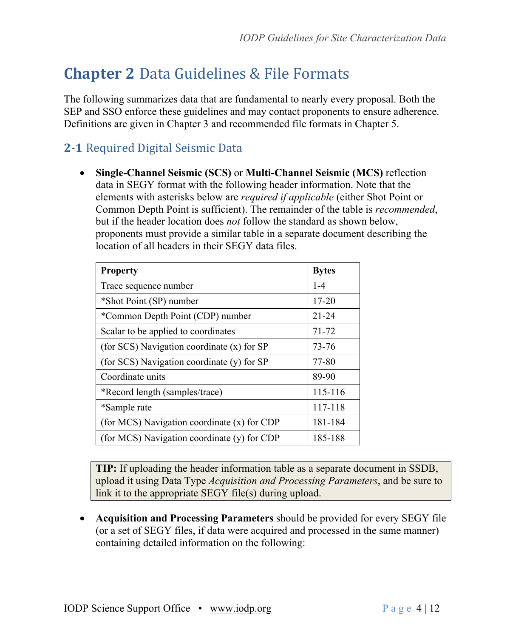## **Chapter 2** Data Guidelines & File Formats

The following summarizes data that are fundamental to nearly every proposal. Both the SEP and SSO enforce these guidelines and may contact proponents to ensure adherence. Definitions are given in Chapter 3 and recommended file formats in Chapter 5.

### **2-1** Required Digital Seismic Data

• **Single-Channel Seismic (SCS)** or **Multi-Channel Seismic (MCS)** reflection data in SEGY format with the following header information. Note that the elements with asterisks below are *required if applicable* (either Shot Point or Common Depth Point is sufficient). The remainder of the table is *recommended*, but if the header location does *not* follow the standard as shown below, proponents must provide a similar table in a separate document describing the location of all headers in their SEGY data files.

| <b>Property</b>                             | <b>Bytes</b> |
|---------------------------------------------|--------------|
| Trace sequence number                       | $1 - 4$      |
| *Shot Point (SP) number                     | $17 - 20$    |
| *Common Depth Point (CDP) number            | $21 - 24$    |
| Scalar to be applied to coordinates         | 71-72        |
| (for SCS) Navigation coordinate (x) for SP  | 73-76        |
| (for SCS) Navigation coordinate (y) for SP  | 77-80        |
| Coordinate units                            | 89-90        |
| *Record length (samples/trace)              | 115-116      |
| *Sample rate                                | 117-118      |
| (for MCS) Navigation coordinate (x) for CDP | 181-184      |
| (for MCS) Navigation coordinate (y) for CDP | 185-188      |

**TIP:** If uploading the header information table as a separate document in SSDB, upload it using Data Type *Acquisition and Processing Parameters*, and be sure to link it to the appropriate SEGY file(s) during upload.

• **Acquisition and Processing Parameters** should be provided for every SEGY file (or a set of SEGY files, if data were acquired and processed in the same manner) containing detailed information on the following: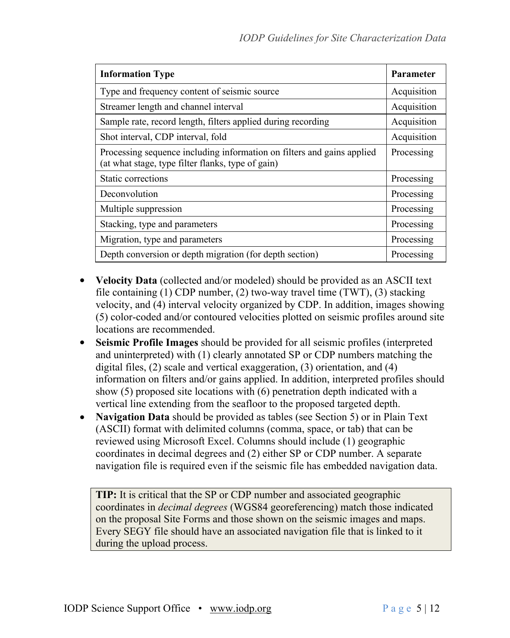| <b>Information Type</b>                                                                                                     | Parameter   |
|-----------------------------------------------------------------------------------------------------------------------------|-------------|
| Type and frequency content of seismic source                                                                                | Acquisition |
| Streamer length and channel interval                                                                                        | Acquisition |
| Sample rate, record length, filters applied during recording                                                                | Acquisition |
| Shot interval, CDP interval, fold                                                                                           | Acquisition |
| Processing sequence including information on filters and gains applied<br>(at what stage, type filter flanks, type of gain) | Processing  |
| Static corrections                                                                                                          | Processing  |
| Deconvolution                                                                                                               | Processing  |
| Multiple suppression                                                                                                        | Processing  |
| Stacking, type and parameters                                                                                               | Processing  |
| Migration, type and parameters                                                                                              | Processing  |
| Depth conversion or depth migration (for depth section)                                                                     | Processing  |

- **Velocity Data** (collected and/or modeled) should be provided as an ASCII text file containing (1) CDP number, (2) two-way travel time (TWT), (3) stacking velocity, and (4) interval velocity organized by CDP. In addition, images showing (5) color-coded and/or contoured velocities plotted on seismic profiles around site locations are recommended.
- **Seismic Profile Images** should be provided for all seismic profiles (interpreted and uninterpreted) with (1) clearly annotated SP or CDP numbers matching the digital files, (2) scale and vertical exaggeration, (3) orientation, and (4) information on filters and/or gains applied. In addition, interpreted profiles should show (5) proposed site locations with (6) penetration depth indicated with a vertical line extending from the seafloor to the proposed targeted depth.
- **Navigation Data** should be provided as tables (see Section 5) or in Plain Text (ASCII) format with delimited columns (comma, space, or tab) that can be reviewed using Microsoft Excel. Columns should include (1) geographic coordinates in decimal degrees and (2) either SP or CDP number. A separate navigation file is required even if the seismic file has embedded navigation data.

**TIP:** It is critical that the SP or CDP number and associated geographic coordinates in *decimal degrees* (WGS84 georeferencing) match those indicated on the proposal Site Forms and those shown on the seismic images and maps. Every SEGY file should have an associated navigation file that is linked to it during the upload process.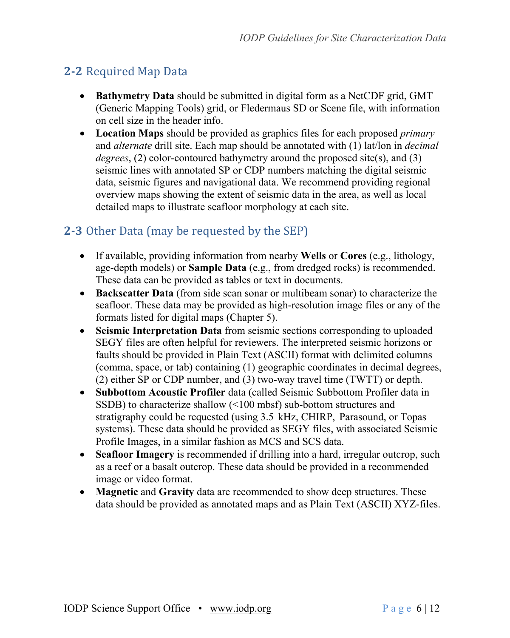### **2-2** Required Map Data

- **Bathymetry Data** should be submitted in digital form as a NetCDF grid, GMT (Generic Mapping Tools) grid, or Fledermaus SD or Scene file, with information on cell size in the header info.
- **Location Maps** should be provided as graphics files for each proposed *primary* and *alternate* drill site. Each map should be annotated with (1) lat/lon in *decimal degrees*, (2) color-contoured bathymetry around the proposed site(s), and (3) seismic lines with annotated SP or CDP numbers matching the digital seismic data, seismic figures and navigational data. We recommend providing regional overview maps showing the extent of seismic data in the area, as well as local detailed maps to illustrate seafloor morphology at each site.

#### **2-3** Other Data (may be requested by the SEP)

- If available, providing information from nearby **Wells** or **Cores** (e.g., lithology, age-depth models) or **Sample Data** (e.g., from dredged rocks) is recommended. These data can be provided as tables or text in documents.
- **Backscatter Data** (from side scan sonar or multibeam sonar) to characterize the seafloor. These data may be provided as high-resolution image files or any of the formats listed for digital maps (Chapter 5).
- **Seismic Interpretation Data** from seismic sections corresponding to uploaded SEGY files are often helpful for reviewers. The interpreted seismic horizons or faults should be provided in Plain Text (ASCII) format with delimited columns (comma, space, or tab) containing (1) geographic coordinates in decimal degrees, (2) either SP or CDP number, and (3) two-way travel time (TWTT) or depth.
- **Subbottom Acoustic Profiler** data (called Seismic Subbottom Profiler data in SSDB) to characterize shallow (<100 mbsf) sub-bottom structures and stratigraphy could be requested (using 3.5 kHz, CHIRP, Parasound, or Topas systems). These data should be provided as SEGY files, with associated Seismic Profile Images, in a similar fashion as MCS and SCS data.
- **Seafloor Imagery** is recommended if drilling into a hard, irregular outcrop, such as a reef or a basalt outcrop. These data should be provided in a recommended image or video format.
- **Magnetic** and **Gravity** data are recommended to show deep structures. These data should be provided as annotated maps and as Plain Text (ASCII) XYZ-files.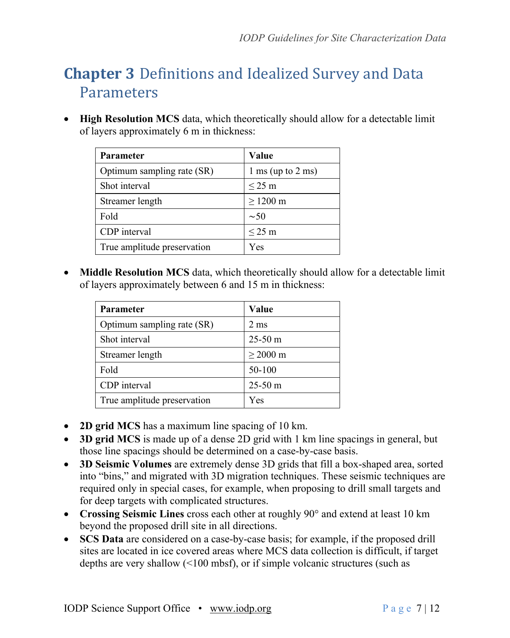## **Chapter 3** Definitions and Idealized Survey and Data Parameters

• **High Resolution MCS** data, which theoretically should allow for a detectable limit of layers approximately 6 m in thickness:

| Parameter                   | Value                                  |  |
|-----------------------------|----------------------------------------|--|
| Optimum sampling rate (SR)  | $1 \text{ ms}$ (up to $2 \text{ ms}$ ) |  |
| Shot interval               | $\leq$ 25 m                            |  |
| Streamer length             | $\geq$ 1200 m                          |  |
| Fold                        | $\sim 50$                              |  |
| CDP interval                | $\leq$ 25 m                            |  |
| True amplitude preservation | Yes                                    |  |

• **Middle Resolution MCS** data, which theoretically should allow for a detectable limit of layers approximately between 6 and 15 m in thickness:

| <b>Parameter</b>            | Value             |
|-----------------------------|-------------------|
| Optimum sampling rate (SR)  | $2 \text{ ms}$    |
| Shot interval               | $25-50 \text{ m}$ |
| Streamer length             | $\geq$ 2000 m     |
| Fold                        | 50-100            |
| CDP interval                | $25-50 \text{ m}$ |
| True amplitude preservation | Yes               |

- **2D grid MCS** has a maximum line spacing of 10 km.
- **3D grid MCS** is made up of a dense 2D grid with 1 km line spacings in general, but those line spacings should be determined on a case-by-case basis.
- **3D Seismic Volumes** are extremely dense 3D grids that fill a box-shaped area, sorted into "bins," and migrated with 3D migration techniques. These seismic techniques are required only in special cases, for example, when proposing to drill small targets and for deep targets with complicated structures.
- **Crossing Seismic Lines** cross each other at roughly 90° and extend at least 10 km beyond the proposed drill site in all directions.
- **SCS Data** are considered on a case-by-case basis; for example, if the proposed drill sites are located in ice covered areas where MCS data collection is difficult, if target depths are very shallow (<100 mbsf), or if simple volcanic structures (such as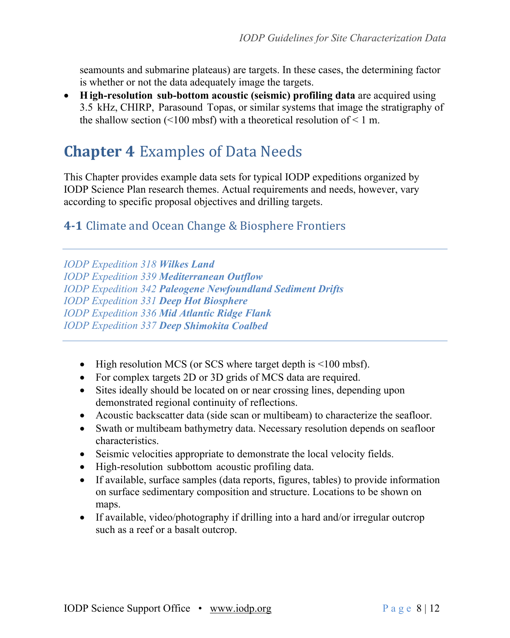seamounts and submarine plateaus) are targets. In these cases, the determining factor is whether or not the data adequately image the targets.

• **High-resolution sub-bottom acoustic (seismic) profiling data** are acquired using 3.5 kHz, CHIRP, Parasound Topas, or similar systems that image the stratigraphy of the shallow section (<100 mbsf) with a theoretical resolution of <1 m.

### **Chapter 4 Examples of Data Needs**

This Chapter provides example data sets for typical IODP expeditions organized by IODP Science Plan research themes. Actual requirements and needs, however, vary according to specific proposal objectives and drilling targets.

#### **4-1** Climate and Ocean Change & Biosphere Frontiers

*IODP Expedition 318 Wilkes Land IODP Expedition 339 Mediterranean Outflow IODP Expedition 342 Paleogene Newfoundland Sediment Drifts IODP Expedition 331 Deep Hot Biosphere IODP Expedition 336 Mid Atlantic Ridge Flank IODP Expedition 337 Deep Shimokita Coalbed*

- High resolution MCS (or SCS where target depth is <100 mbsf).
- For complex targets 2D or 3D grids of MCS data are required.
- Sites ideally should be located on or near crossing lines, depending upon demonstrated regional continuity of reflections.
- Acoustic backscatter data (side scan or multibeam) to characterize the seafloor.
- Swath or multibeam bathymetry data. Necessary resolution depends on seafloor characteristics.
- Seismic velocities appropriate to demonstrate the local velocity fields.
- High-resolution subbottom acoustic profiling data.
- If available, surface samples (data reports, figures, tables) to provide information on surface sedimentary composition and structure. Locations to be shown on maps.
- If available, video/photography if drilling into a hard and/or irregular outcrop such as a reef or a basalt outcrop.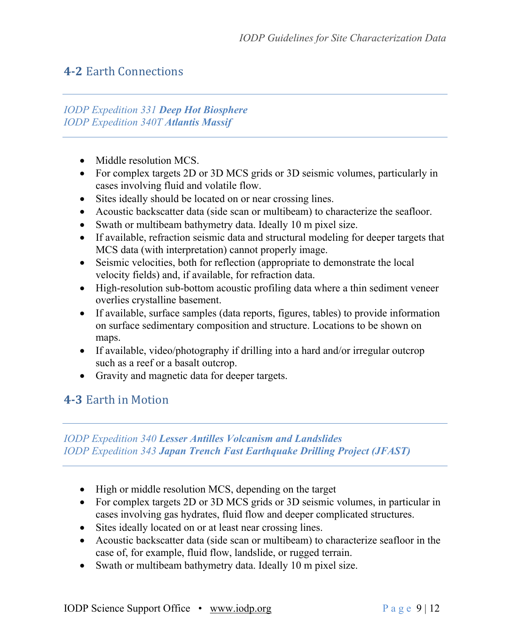#### **4-2 Earth Connections**

#### *IODP Expedition 331 Deep Hot Biosphere IODP Expedition 340T Atlantis Massif*

- Middle resolution MCS.
- For complex targets 2D or 3D MCS grids or 3D seismic volumes, particularly in cases involving fluid and volatile flow.
- Sites ideally should be located on or near crossing lines.
- Acoustic backscatter data (side scan or multibeam) to characterize the seafloor.
- Swath or multibeam bathymetry data. Ideally 10 m pixel size.
- If available, refraction seismic data and structural modeling for deeper targets that MCS data (with interpretation) cannot properly image.
- Seismic velocities, both for reflection (appropriate to demonstrate the local velocity fields) and, if available, for refraction data.
- High-resolution sub-bottom acoustic profiling data where a thin sediment veneer overlies crystalline basement.
- If available, surface samples (data reports, figures, tables) to provide information on surface sedimentary composition and structure. Locations to be shown on maps.
- If available, video/photography if drilling into a hard and/or irregular outcrop such as a reef or a basalt outcrop.
- Gravity and magnetic data for deeper targets.

#### **4-3 Earth in Motion**

#### *IODP Expedition 340 Lesser Antilles Volcanism and Landslides IODP Expedition 343 Japan Trench Fast Earthquake Drilling Project (JFAST)*

- High or middle resolution MCS, depending on the target
- For complex targets 2D or 3D MCS grids or 3D seismic volumes, in particular in cases involving gas hydrates, fluid flow and deeper complicated structures.
- Sites ideally located on or at least near crossing lines.
- Acoustic backscatter data (side scan or multibeam) to characterize seafloor in the case of, for example, fluid flow, landslide, or rugged terrain.
- Swath or multibeam bathymetry data. Ideally 10 m pixel size.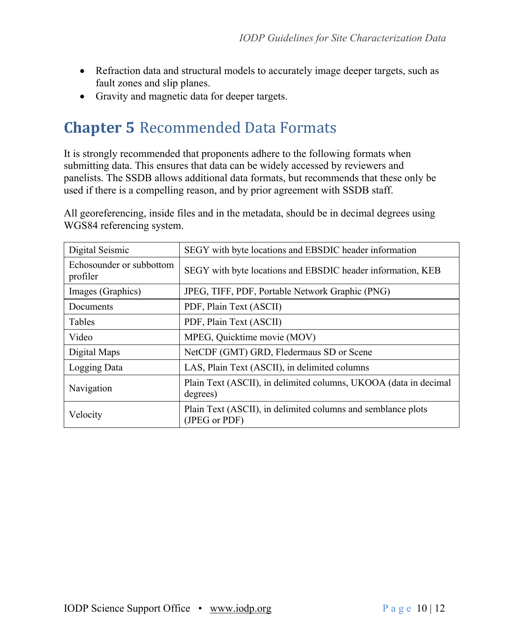- Refraction data and structural models to accurately image deeper targets, such as fault zones and slip planes.
- Gravity and magnetic data for deeper targets.

## **Chapter 5** Recommended Data Formats

It is strongly recommended that proponents adhere to the following formats when submitting data. This ensures that data can be widely accessed by reviewers and panelists. The SSDB allows additional data formats, but recommends that these only be used if there is a compelling reason, and by prior agreement with SSDB staff.

All georeferencing, inside files and in the metadata, should be in decimal degrees using WGS84 referencing system.

| Digital Seismic                      | SEGY with byte locations and EBSDIC header information                        |
|--------------------------------------|-------------------------------------------------------------------------------|
| Echosounder or subbottom<br>profiler | SEGY with byte locations and EBSDIC header information, KEB                   |
| Images (Graphics)                    | JPEG, TIFF, PDF, Portable Network Graphic (PNG)                               |
| Documents                            | PDF, Plain Text (ASCII)                                                       |
| Tables                               | PDF, Plain Text (ASCII)                                                       |
| Video                                | MPEG, Quicktime movie (MOV)                                                   |
| Digital Maps                         | NetCDF (GMT) GRD, Fledermaus SD or Scene                                      |
| Logging Data                         | LAS, Plain Text (ASCII), in delimited columns                                 |
| Navigation                           | Plain Text (ASCII), in delimited columns, UKOOA (data in decimal<br>degrees)  |
| Velocity                             | Plain Text (ASCII), in delimited columns and semblance plots<br>(JPEG or PDF) |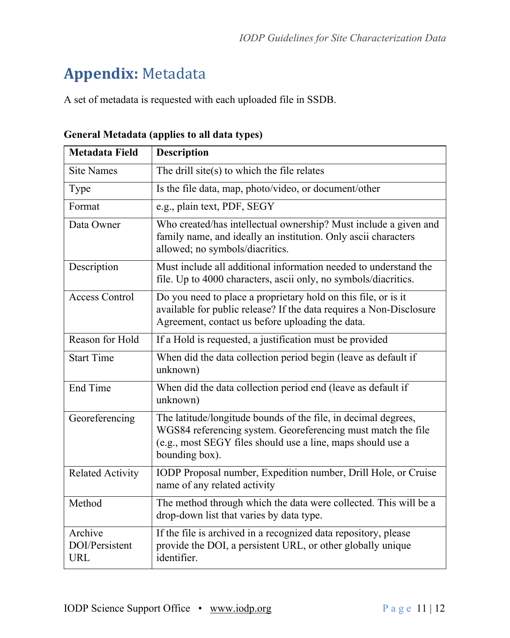# **Appendix:** Metadata

A set of metadata is requested with each uploaded file in SSDB.

| <b>Metadata Field</b>                   | <b>Description</b>                                                                                                                                                                                              |
|-----------------------------------------|-----------------------------------------------------------------------------------------------------------------------------------------------------------------------------------------------------------------|
| <b>Site Names</b>                       | The drill site( $s$ ) to which the file relates                                                                                                                                                                 |
| Type                                    | Is the file data, map, photo/video, or document/other                                                                                                                                                           |
| Format                                  | e.g., plain text, PDF, SEGY                                                                                                                                                                                     |
| Data Owner                              | Who created/has intellectual ownership? Must include a given and<br>family name, and ideally an institution. Only ascii characters<br>allowed; no symbols/diacritics.                                           |
| Description                             | Must include all additional information needed to understand the<br>file. Up to 4000 characters, ascii only, no symbols/diacritics.                                                                             |
| <b>Access Control</b>                   | Do you need to place a proprietary hold on this file, or is it<br>available for public release? If the data requires a Non-Disclosure<br>Agreement, contact us before uploading the data.                       |
| Reason for Hold                         | If a Hold is requested, a justification must be provided                                                                                                                                                        |
| <b>Start Time</b>                       | When did the data collection period begin (leave as default if<br>unknown)                                                                                                                                      |
| End Time                                | When did the data collection period end (leave as default if<br>unknown)                                                                                                                                        |
| Georeferencing                          | The latitude/longitude bounds of the file, in decimal degrees,<br>WGS84 referencing system. Georeferencing must match the file<br>(e.g., most SEGY files should use a line, maps should use a<br>bounding box). |
| <b>Related Activity</b>                 | IODP Proposal number, Expedition number, Drill Hole, or Cruise<br>name of any related activity                                                                                                                  |
| Method                                  | The method through which the data were collected. This will be a<br>drop-down list that varies by data type.                                                                                                    |
| Archive<br>DOI/Persistent<br><b>URL</b> | If the file is archived in a recognized data repository, please<br>provide the DOI, a persistent URL, or other globally unique<br>identifier.                                                                   |

**General Metadata (applies to all data types)**